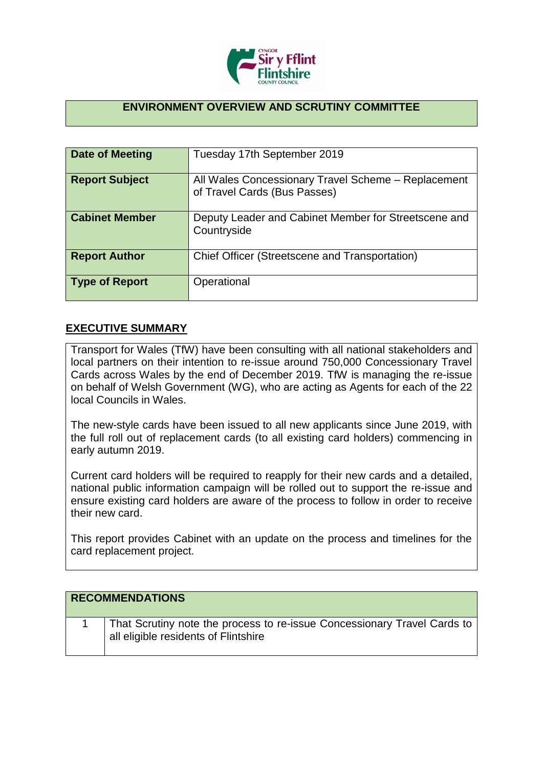

## **ENVIRONMENT OVERVIEW AND SCRUTINY COMMITTEE**

| Date of Meeting       | Tuesday 17th September 2019                                                         |
|-----------------------|-------------------------------------------------------------------------------------|
| <b>Report Subject</b> | All Wales Concessionary Travel Scheme - Replacement<br>of Travel Cards (Bus Passes) |
| <b>Cabinet Member</b> | Deputy Leader and Cabinet Member for Streetscene and<br>Countryside                 |
| <b>Report Author</b>  | Chief Officer (Streetscene and Transportation)                                      |
| <b>Type of Report</b> | Operational                                                                         |

## **EXECUTIVE SUMMARY**

Transport for Wales (TfW) have been consulting with all national stakeholders and local partners on their intention to re-issue around 750,000 Concessionary Travel Cards across Wales by the end of December 2019. TfW is managing the re-issue on behalf of Welsh Government (WG), who are acting as Agents for each of the 22 local Councils in Wales.

The new-style cards have been issued to all new applicants since June 2019, with the full roll out of replacement cards (to all existing card holders) commencing in early autumn 2019.

Current card holders will be required to reapply for their new cards and a detailed, national public information campaign will be rolled out to support the re-issue and ensure existing card holders are aware of the process to follow in order to receive their new card.

This report provides Cabinet with an update on the process and timelines for the card replacement project.

| <b>RECOMMENDATIONS</b>                                                                                           |
|------------------------------------------------------------------------------------------------------------------|
| That Scrutiny note the process to re-issue Concessionary Travel Cards to<br>all eligible residents of Flintshire |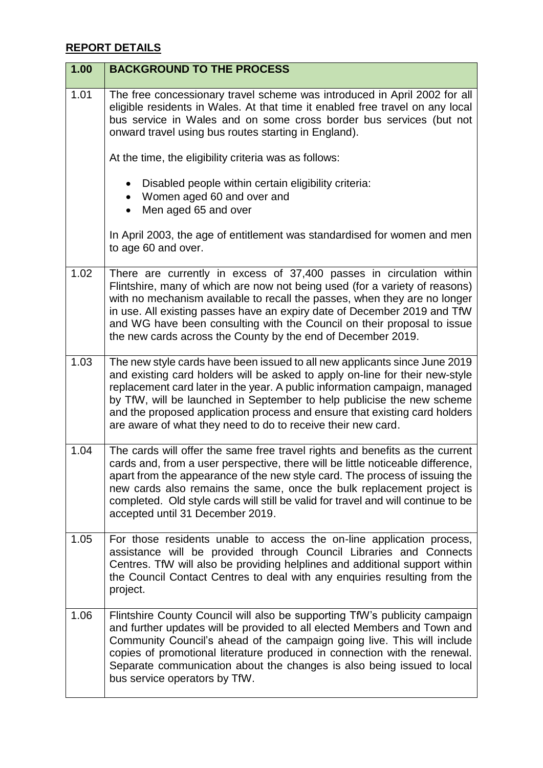## **REPORT DETAILS**

| 1.00 | <b>BACKGROUND TO THE PROCESS</b>                                                                                                                                                                                                                                                                                                                                                                                                                                 |
|------|------------------------------------------------------------------------------------------------------------------------------------------------------------------------------------------------------------------------------------------------------------------------------------------------------------------------------------------------------------------------------------------------------------------------------------------------------------------|
| 1.01 | The free concessionary travel scheme was introduced in April 2002 for all<br>eligible residents in Wales. At that time it enabled free travel on any local<br>bus service in Wales and on some cross border bus services (but not<br>onward travel using bus routes starting in England).                                                                                                                                                                        |
|      | At the time, the eligibility criteria was as follows:                                                                                                                                                                                                                                                                                                                                                                                                            |
|      | Disabled people within certain eligibility criteria:<br>• Women aged 60 and over and<br>Men aged 65 and over                                                                                                                                                                                                                                                                                                                                                     |
|      | In April 2003, the age of entitlement was standardised for women and men<br>to age 60 and over.                                                                                                                                                                                                                                                                                                                                                                  |
| 1.02 | There are currently in excess of 37,400 passes in circulation within<br>Flintshire, many of which are now not being used (for a variety of reasons)<br>with no mechanism available to recall the passes, when they are no longer<br>in use. All existing passes have an expiry date of December 2019 and TfW<br>and WG have been consulting with the Council on their proposal to issue<br>the new cards across the County by the end of December 2019.          |
| 1.03 | The new style cards have been issued to all new applicants since June 2019<br>and existing card holders will be asked to apply on-line for their new-style<br>replacement card later in the year. A public information campaign, managed<br>by TfW, will be launched in September to help publicise the new scheme<br>and the proposed application process and ensure that existing card holders<br>are aware of what they need to do to receive their new card. |
| 1.04 | The cards will offer the same free travel rights and benefits as the current<br>cards and, from a user perspective, there will be little noticeable difference,<br>apart from the appearance of the new style card. The process of issuing the<br>new cards also remains the same, once the bulk replacement project is<br>completed. Old style cards will still be valid for travel and will continue to be<br>accepted until 31 December 2019.                 |
| 1.05 | For those residents unable to access the on-line application process,<br>assistance will be provided through Council Libraries and Connects<br>Centres. TfW will also be providing helplines and additional support within<br>the Council Contact Centres to deal with any enquiries resulting from the<br>project.                                                                                                                                              |
| 1.06 | Flintshire County Council will also be supporting TfW's publicity campaign<br>and further updates will be provided to all elected Members and Town and<br>Community Council's ahead of the campaign going live. This will include<br>copies of promotional literature produced in connection with the renewal.<br>Separate communication about the changes is also being issued to local<br>bus service operators by TfW.                                        |